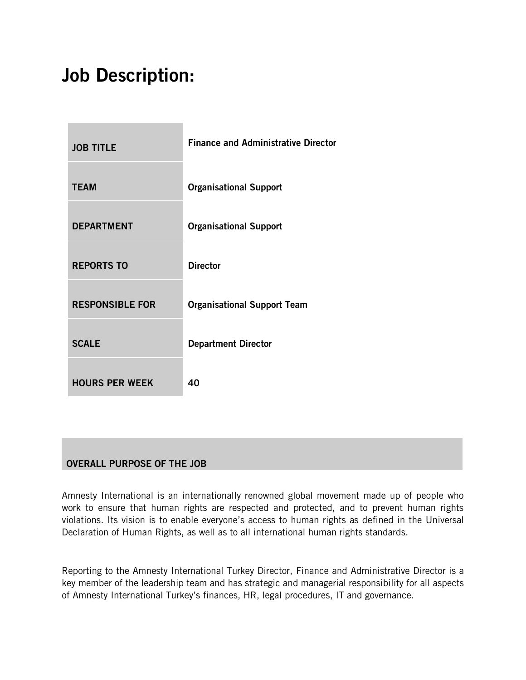# Job Description:

| <b>JOB TITLE</b>       | <b>Finance and Administrative Director</b> |
|------------------------|--------------------------------------------|
| <b>TEAM</b>            | <b>Organisational Support</b>              |
| <b>DEPARTMENT</b>      | <b>Organisational Support</b>              |
| <b>REPORTS TO</b>      | <b>Director</b>                            |
| <b>RESPONSIBLE FOR</b> | <b>Organisational Support Team</b>         |
| <b>SCALE</b>           | <b>Department Director</b>                 |
| <b>HOURS PER WEEK</b>  | 40                                         |

## OVERALL PURPOSE OF THE JOB

Amnesty International is an internationally renowned global movement made up of people who work to ensure that human rights are respected and protected, and to prevent human rights violations. Its vision is to enable everyone's access to human rights as defined in the Universal Declaration of Human Rights, as well as to all international human rights standards.

Reporting to the Amnesty International Turkey Director, Finance and Administrative Director is a key member of the leadership team and has strategic and managerial responsibility for all aspects of Amnesty International Turkey's finances, HR, legal procedures, IT and governance.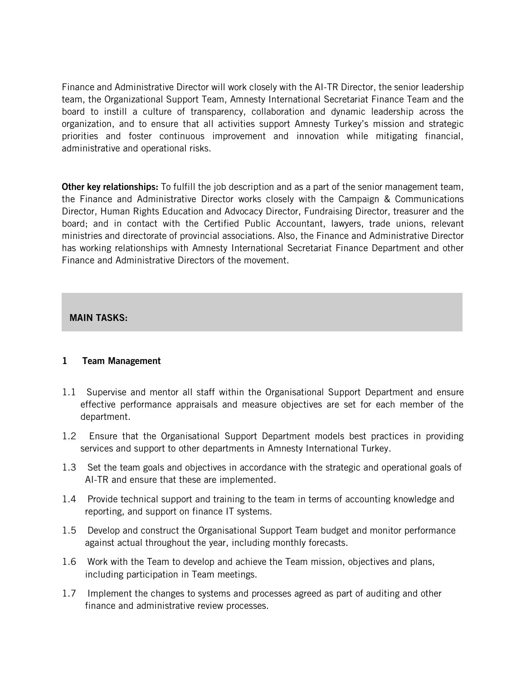Finance and Administrative Director will work closely with the AI-TR Director, the senior leadership team, the Organizational Support Team, Amnesty International Secretariat Finance Team and the board to instill a culture of transparency, collaboration and dynamic leadership across the organization, and to ensure that all activities support Amnesty Turkey's mission and strategic priorities and foster continuous improvement and innovation while mitigating financial, administrative and operational risks.

**Other key relationships:** To fulfill the job description and as a part of the senior management team, the Finance and Administrative Director works closely with the Campaign & Communications Director, Human Rights Education and Advocacy Director, Fundraising Director, treasurer and the board; and in contact with the Certified Public Accountant, lawyers, trade unions, relevant ministries and directorate of provincial associations. Also, the Finance and Administrative Director has working relationships with Amnesty International Secretariat Finance Department and other Finance and Administrative Directors of the movement.

#### MAIN TASKS:

#### 1 Team Management

- 1.1 Supervise and mentor all staff within the Organisational Support Department and ensure effective performance appraisals and measure objectives are set for each member of the department.
- 1.2 Ensure that the Organisational Support Department models best practices in providing services and support to other departments in Amnesty International Turkey.
- 1.3 Set the team goals and objectives in accordance with the strategic and operational goals of AI-TR and ensure that these are implemented.
- 1.4 Provide technical support and training to the team in terms of accounting knowledge and reporting, and support on finance IT systems.
- 1.5 Develop and construct the Organisational Support Team budget and monitor performance against actual throughout the year, including monthly forecasts.
- 1.6 Work with the Team to develop and achieve the Team mission, objectives and plans, including participation in Team meetings.
- 1.7 Implement the changes to systems and processes agreed as part of auditing and other finance and administrative review processes.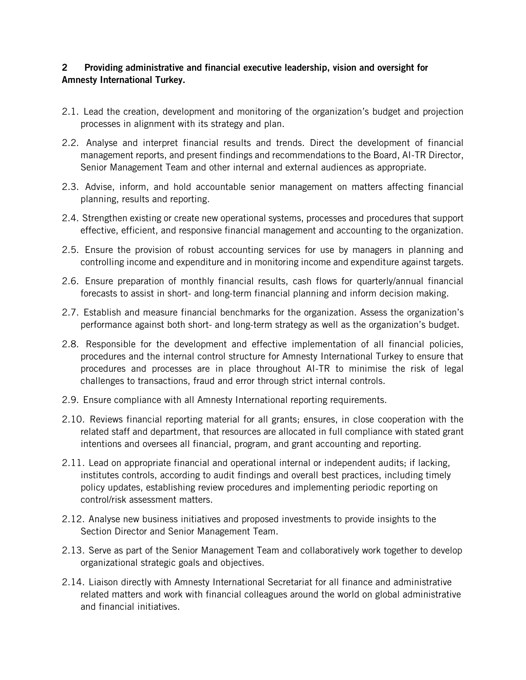#### 2 Providing administrative and financial executive leadership, vision and oversight for Amnesty International Turkey.

- 2.1. Lead the creation, development and monitoring of the organization's budget and projection processes in alignment with its strategy and plan.
- 2.2. Analyse and interpret financial results and trends. Direct the development of financial management reports, and present findings and recommendations to the Board, AI-TR Director, Senior Management Team and other internal and external audiences as appropriate.
- 2.3. Advise, inform, and hold accountable senior management on matters affecting financial planning, results and reporting.
- 2.4. Strengthen existing or create new operational systems, processes and procedures that support effective, efficient, and responsive financial management and accounting to the organization.
- 2.5. Ensure the provision of robust accounting services for use by managers in planning and controlling income and expenditure and in monitoring income and expenditure against targets.
- 2.6. Ensure preparation of monthly financial results, cash flows for quarterly/annual financial forecasts to assist in short- and long-term financial planning and inform decision making.
- 2.7. Establish and measure financial benchmarks for the organization. Assess the organization's performance against both short- and long-term strategy as well as the organization's budget.
- 2.8. Responsible for the development and effective implementation of all financial policies, procedures and the internal control structure for Amnesty International Turkey to ensure that procedures and processes are in place throughout AI-TR to minimise the risk of legal challenges to transactions, fraud and error through strict internal controls.
- 2.9. Ensure compliance with all Amnesty International reporting requirements.
- 2.10. Reviews financial reporting material for all grants; ensures, in close cooperation with the related staff and department, that resources are allocated in full compliance with stated grant intentions and oversees all financial, program, and grant accounting and reporting.
- 2.11. Lead on appropriate financial and operational internal or independent audits; if lacking, institutes controls, according to audit findings and overall best practices, including timely policy updates, establishing review procedures and implementing periodic reporting on control/risk assessment matters.
- 2.12. Analyse new business initiatives and proposed investments to provide insights to the Section Director and Senior Management Team.
- 2.13. Serve as part of the Senior Management Team and collaboratively work together to develop organizational strategic goals and objectives.
- 2.14. Liaison directly with Amnesty International Secretariat for all finance and administrative related matters and work with financial colleagues around the world on global administrative and financial initiatives.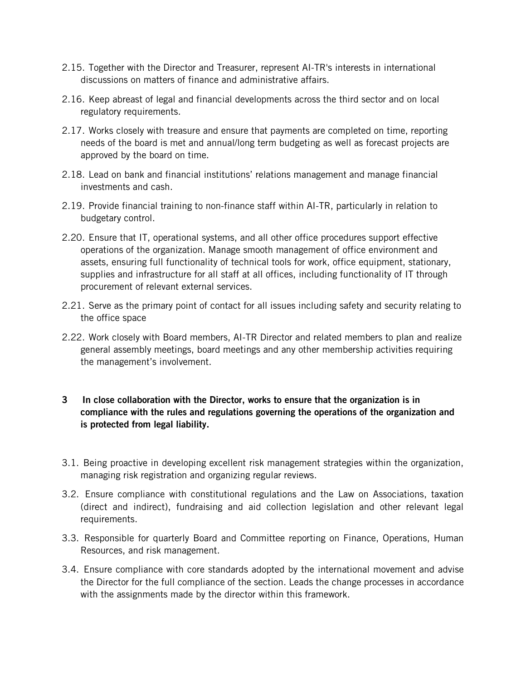- 2.15. Together with the Director and Treasurer, represent AI-TR's interests in international discussions on matters of finance and administrative affairs.
- 2.16. Keep abreast of legal and financial developments across the third sector and on local regulatory requirements.
- 2.17. Works closely with treasure and ensure that payments are completed on time, reporting needs of the board is met and annual/long term budgeting as well as forecast projects are approved by the board on time.
- 2.18. Lead on bank and financial institutions' relations management and manage financial investments and cash.
- 2.19. Provide financial training to non-finance staff within AI-TR, particularly in relation to budgetary control.
- 2.20. Ensure that IT, operational systems, and all other office procedures support effective operations of the organization. Manage smooth management of office environment and assets, ensuring full functionality of technical tools for work, office equipment, stationary, supplies and infrastructure for all staff at all offices, including functionality of IT through procurement of relevant external services.
- 2.21. Serve as the primary point of contact for all issues including safety and security relating to the office space
- 2.22. Work closely with Board members, AI-TR Director and related members to plan and realize general assembly meetings, board meetings and any other membership activities requiring the management's involvement.
- 3 In close collaboration with the Director, works to ensure that the organization is in compliance with the rules and regulations governing the operations of the organization and is protected from legal liability.
- 3.1. Being proactive in developing excellent risk management strategies within the organization, managing risk registration and organizing regular reviews.
- 3.2. Ensure compliance with constitutional regulations and the Law on Associations, taxation (direct and indirect), fundraising and aid collection legislation and other relevant legal requirements.
- 3.3. Responsible for quarterly Board and Committee reporting on Finance, Operations, Human Resources, and risk management.
- 3.4. Ensure compliance with core standards adopted by the international movement and advise the Director for the full compliance of the section. Leads the change processes in accordance with the assignments made by the director within this framework.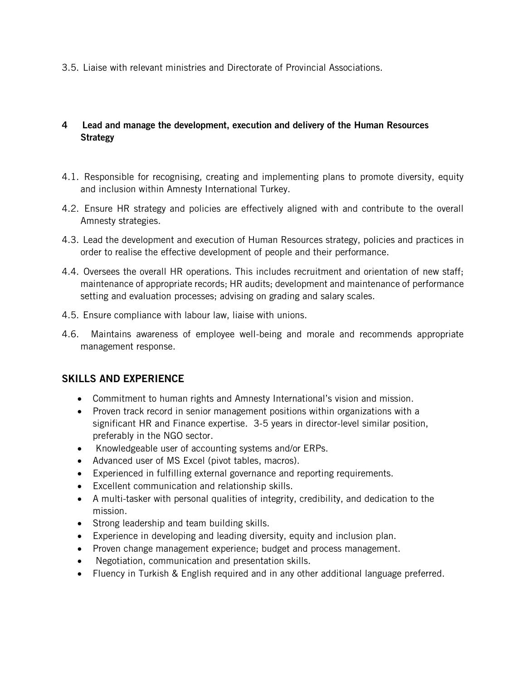3.5. Liaise with relevant ministries and Directorate of Provincial Associations.

### 4 Lead and manage the development, execution and delivery of the Human Resources **Strategy**

- 4.1. Responsible for recognising, creating and implementing plans to promote diversity, equity and inclusion within Amnesty International Turkey.
- 4.2. Ensure HR strategy and policies are effectively aligned with and contribute to the overall Amnesty strategies.
- 4.3. Lead the development and execution of Human Resources strategy, policies and practices in order to realise the effective development of people and their performance.
- 4.4. Oversees the overall HR operations. This includes recruitment and orientation of new staff; maintenance of appropriate records; HR audits; development and maintenance of performance setting and evaluation processes; advising on grading and salary scales.
- 4.5. Ensure compliance with labour law, liaise with unions.
- 4.6. Maintains awareness of employee well-being and morale and recommends appropriate management response.

## SKILLS AND EXPERIENCE

- Commitment to human rights and Amnesty International's vision and mission.
- Proven track record in senior management positions within organizations with a significant HR and Finance expertise. 3-5 years in director-level similar position, preferably in the NGO sector.
- Knowledgeable user of accounting systems and/or ERPs.
- Advanced user of MS Excel (pivot tables, macros).
- Experienced in fulfilling external governance and reporting requirements.
- Excellent communication and relationship skills.
- A multi-tasker with personal qualities of integrity, credibility, and dedication to the mission.
- Strong leadership and team building skills.
- Experience in developing and leading diversity, equity and inclusion plan.
- Proven change management experience; budget and process management.
- Negotiation, communication and presentation skills.
- Fluency in Turkish & English required and in any other additional language preferred.